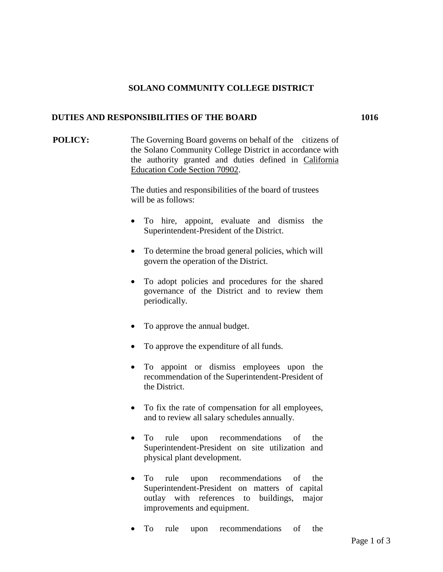## **SOLANO COMMUNITY COLLEGE DISTRICT**

## **DUTIES AND RESPONSIBILITIES OF THE BOARD 1016**

**POLICY:** The Governing Board governs on behalf of the citizens of the Solano Community College District in accordance with the authority granted and duties defined in California Education Code Section 70902.

> The duties and responsibilities of the board of trustees will be as follows:

- To hire, appoint, evaluate and dismiss the Superintendent-President of the District.
- To determine the broad general policies, which will govern the operation of the District.
- To adopt policies and procedures for the shared governance of the District and to review them periodically.
- To approve the annual budget.
- To approve the expenditure of all funds.
- To appoint or dismiss employees upon the recommendation of the Superintendent-President of the District.
- To fix the rate of compensation for all employees, and to review all salary schedules annually.
- To rule upon recommendations of the Superintendent-President on site utilization and physical plant development.
- To rule upon recommendations of the Superintendent-President on matters of capital outlay with references to buildings, major improvements and equipment.
- To rule upon recommendations of the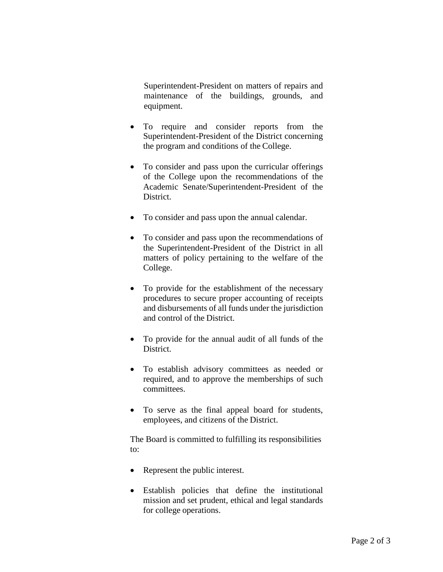Superintendent-President on matters of repairs and maintenance of the buildings, grounds, and equipment.

- To require and consider reports from the Superintendent-President of the District concerning the program and conditions of the College.
- To consider and pass upon the curricular offerings of the College upon the recommendations of the Academic Senate/Superintendent-President of the District.
- To consider and pass upon the annual calendar.
- To consider and pass upon the recommendations of the Superintendent-President of the District in all matters of policy pertaining to the welfare of the College.
- To provide for the establishment of the necessary procedures to secure proper accounting of receipts and disbursements of all funds under the jurisdiction and control of the District.
- To provide for the annual audit of all funds of the District.
- To establish advisory committees as needed or required, and to approve the memberships of such committees.
- To serve as the final appeal board for students, employees, and citizens of the District.

The Board is committed to fulfilling its responsibilities to:

- Represent the public interest.
- Establish policies that define the institutional mission and set prudent, ethical and legal standards for college operations.